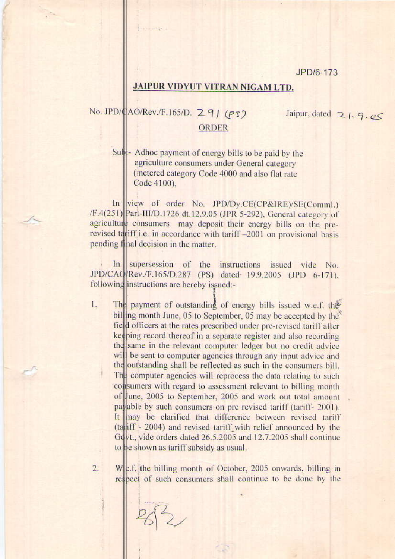JPD/6-173

## **JAIPUR VIDYUT VITRAN NIGAM LTD.**

## No. JPD/CAO/Rev./F.165/D. 291 (PS)

Jaipur, dated  $21.9.05$ 

## **ORDER**

Sub:- Adhoc payment of energy bills to be paid by the agriculture consumers under General category (metered category Code 4000 and also flat rate Code 4100).

In view of order No. JPD/Dy.CE(CP&IRE)/SE(Comml.) /F.4(251) Part-III/D.1726 dt.12.9.05 (JPR 5-292), General category of agriculture consumers may deposit their energy bills on the prerevised tariff i.e. in accordance with tariff -2001 on provisional basis pending final decision in the matter.

In supersession of the instructions issued vide No. JPD/CAQ/Rev./F.165/D.287 (PS) dated 19.9.2005 (JPD 6-171). following instructions are hereby issued:-

1. The payment of outstanding of energy bills issued w.e.f. the billing month June, 05 to September, 05 may be accepted by the field officers at the rates prescribed under pre-revised tariff after keeping record thereof in a separate register and also recording the same in the relevant computer ledger but no credit advice will be sent to computer agencies through any input advice and the outstanding shall be reflected as such in the consumers bill. The computer agencies will reprocess the data relating to such consumers with regard to assessment relevant to billing month of June, 2005 to September, 2005 and work out total amount payable by such consumers on pre revised tariff (tariff- 2001). It may be clarified that difference between revised tariff (tariff - 2004) and revised tariff with relief announced by the Gdyt., vide orders dated 26.5.2005 and 12.7.2005 shall continue to be shown as tariff subsidy as usual.

 $2.$ We.f. the billing month of October, 2005 onwards, billing in respect of such consumers shall continue to be done by the